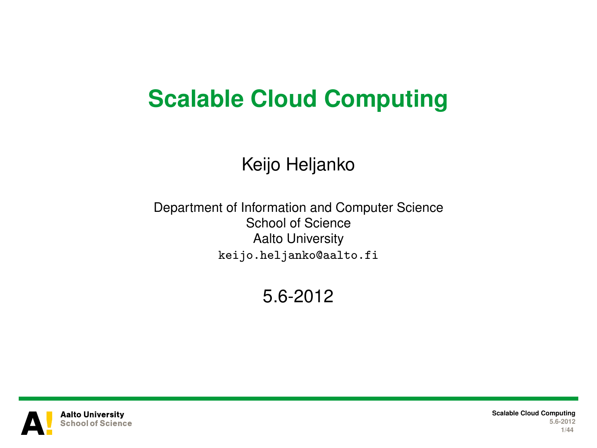# **Scalable Cloud Computing**

#### Keijo Heljanko

Department of Information and Computer Science School of Science Aalto University keijo.heljanko@aalto.fi

5.6-2012



**Scalable Cloud Computing 5.6-2012 1/44**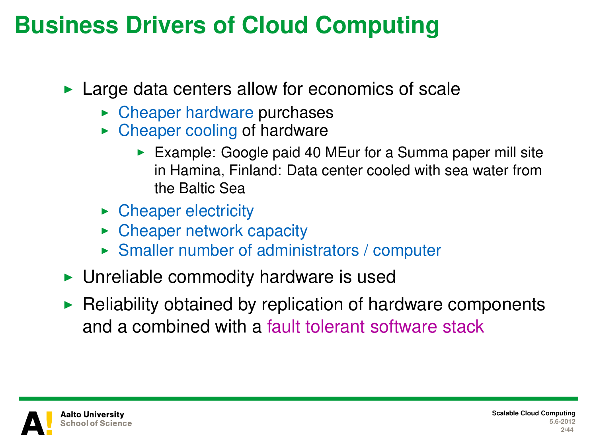#### **Business Drivers of Cloud Computing**

 $\blacktriangleright$  Large data centers allow for economics of scale

- $\triangleright$  Cheaper hardware purchases
- $\triangleright$  Cheaper cooling of hardware
	- Example: Google paid 40 MEur for a Summa paper mill site in Hamina, Finland: Data center cooled with sea water from the Baltic Sea
- $\triangleright$  Cheaper electricity
- $\triangleright$  Cheaper network capacity
- $\triangleright$  Smaller number of administrators / computer
- $\triangleright$  Unreliable commodity hardware is used
- $\blacktriangleright$  Reliability obtained by replication of hardware components and a combined with a fault tolerant software stack



**Scalable Cloud Computing 5.6-2012 2/44**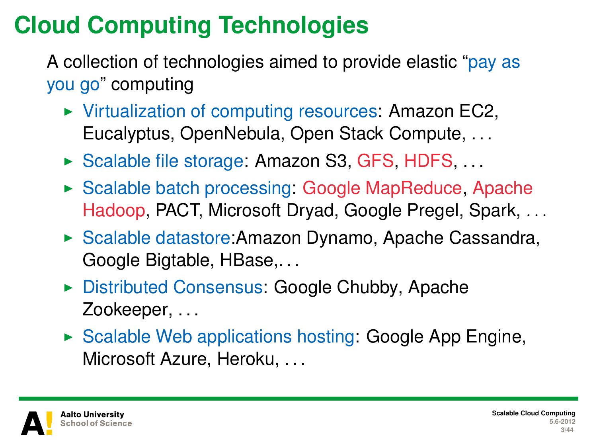# **Cloud Computing Technologies**

A collection of technologies aimed to provide elastic "pay as you go" computing

- $\triangleright$  Virtualization of computing resources: Amazon EC2, Eucalyptus, OpenNebula, Open Stack Compute, . . .
- ▶ Scalable file storage: Amazon S3, GFS, HDFS, ...
- $\triangleright$  Scalable batch processing: Google MapReduce, Apache Hadoop, PACT, Microsoft Dryad, Google Pregel, Spark, . . .
- ► Scalable datastore: Amazon Dynamo, Apache Cassandra, Google Bigtable, HBase,. . .
- ► Distributed Consensus: Google Chubby, Apache Zookeeper, ...
- $\triangleright$  Scalable Web applications hosting: Google App Engine, Microsoft Azure, Heroku, ...

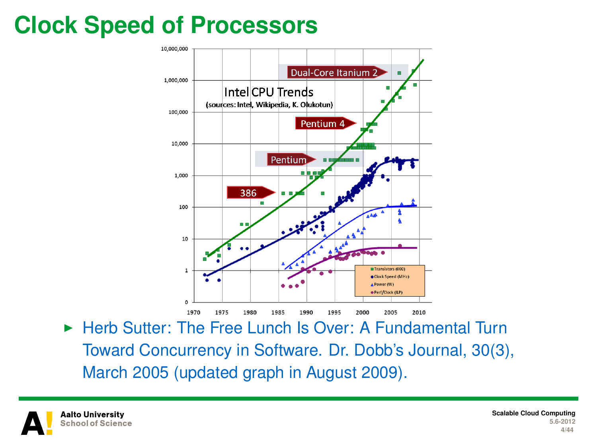# **Clock Speed of Processors**



▶ Herb Sutter: The Free Lunch Is Over: A Fundamental Turn Toward Concurrency in Software. Dr. Dobb's Journal, 30(3), March 2005 (updated graph in August 2009).

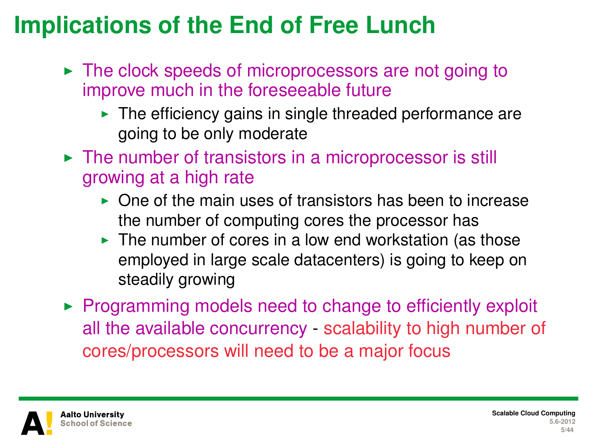# **Implications of the End of Free Lunch**

- $\triangleright$  The clock speeds of microprocessors are not going to improve much in the foreseeable future
	- $\blacktriangleright$  The efficiency gains in single threaded performance are going to be only moderate
- $\triangleright$  The number of transistors in a microprocessor is still growing at a high rate
	- $\triangleright$  One of the main uses of transistors has been to increase the number of computing cores the processor has
	- $\blacktriangleright$  The number of cores in a low end workstation (as those employed in large scale datacenters) is going to keep on steadily growing
- $\triangleright$  Programming models need to change to efficiently exploit all the available concurrency - scalability to high number of cores/processors will need to be a major focus

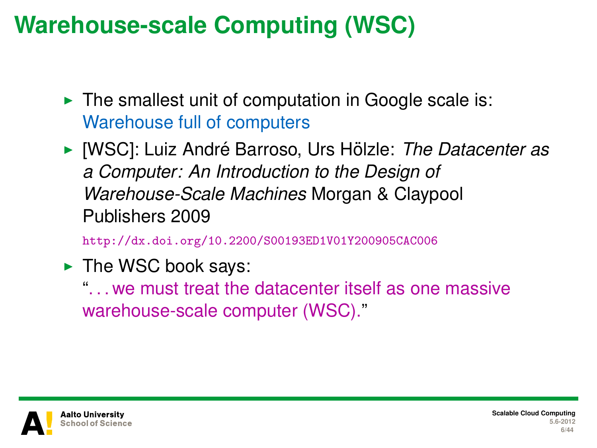# **Warehouse-scale Computing (WSC)**

- $\blacktriangleright$  The smallest unit of computation in Google scale is: Warehouse full of computers
- ▶ [WSC]: Luiz André Barroso, Urs Hölzle: *The Datacenter as a Computer: An Introduction to the Design of Warehouse-Scale Machines* Morgan & Claypool Publishers 2009

<http://dx.doi.org/10.2200/S00193ED1V01Y200905CAC006>

 $\blacktriangleright$  The WSC book says:

". . . we must treat the datacenter itself as one massive warehouse-scale computer (WSC)."

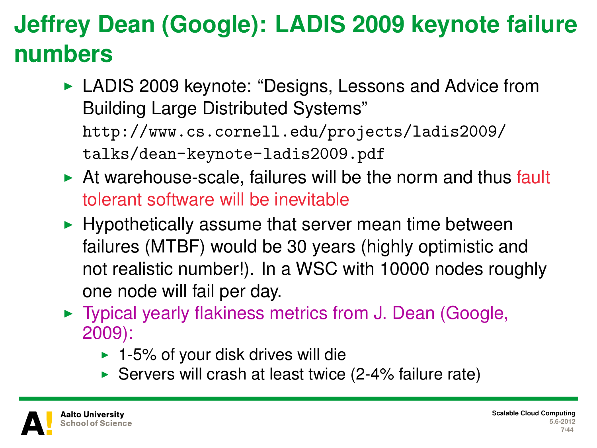# **Jeffrey Dean (Google): LADIS 2009 keynote failure numbers**

- ► LADIS 2009 keynote: "Designs, Lessons and Advice from Building Large Distributed Systems" [http://www.cs.cornell.edu/projects/ladis2009/](http://www.cs.cornell.edu/projects/ladis2009/talks/dean-keynote-ladis2009.pdf) [talks/dean-keynote-ladis2009.pdf](http://www.cs.cornell.edu/projects/ladis2009/talks/dean-keynote-ladis2009.pdf)
- $\triangleright$  At warehouse-scale, failures will be the norm and thus fault tolerant software will be inevitable
- $\blacktriangleright$  Hypothetically assume that server mean time between failures (MTBF) would be 30 years (highly optimistic and not realistic number!). In a WSC with 10000 nodes roughly one node will fail per day.
- $\triangleright$  Typical yearly flakiness metrics from J. Dean (Google, 2009):
	- $\blacktriangleright$  1-5% of your disk drives will die
	- Servers will crash at least twice  $(2-4%$  failure rate)

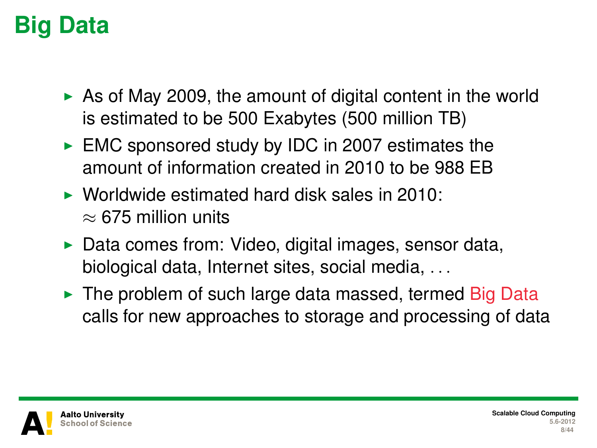# **Big Data**

- $\triangleright$  As of May 2009, the amount of digital content in the world is estimated to be 500 Exabytes (500 million TB)
- $\triangleright$  EMC sponsored study by IDC in 2007 estimates the amount of information created in 2010 to be 988 EB
- $\triangleright$  Worldwide estimated hard disk sales in 2010:  $\approx$  675 million units
- $\triangleright$  Data comes from: Video, digital images, sensor data, biological data, Internet sites, social media, . . .
- $\triangleright$  The problem of such large data massed, termed Big Data calls for new approaches to storage and processing of data

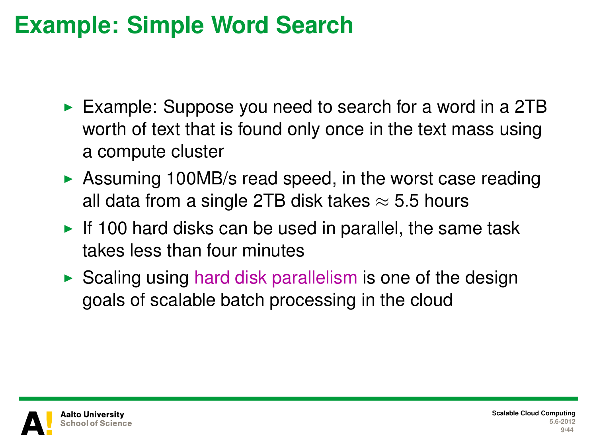#### **Example: Simple Word Search**

- Example: Suppose you need to search for a word in a 2TB worth of text that is found only once in the text mass using a compute cluster
- $\triangleright$  Assuming 100MB/s read speed, in the worst case reading all data from a single 2TB disk takes  $\approx$  5.5 hours
- If 100 hard disks can be used in parallel, the same task takes less than four minutes
- $\triangleright$  Scaling using hard disk parallelism is one of the design goals of scalable batch processing in the cloud

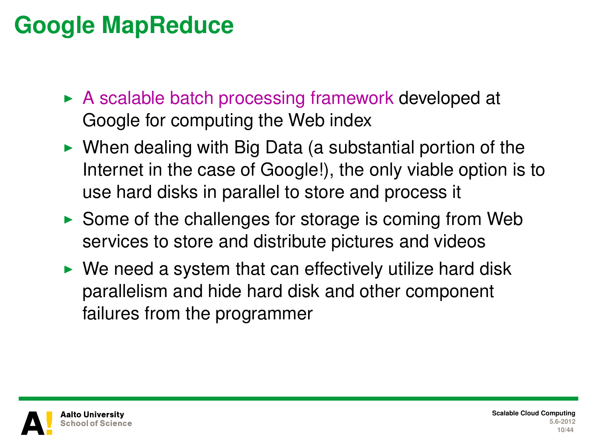#### **Google MapReduce**

- $\triangleright$  A scalable batch processing framework developed at Google for computing the Web index
- $\triangleright$  When dealing with Big Data (a substantial portion of the Internet in the case of Google!), the only viable option is to use hard disks in parallel to store and process it
- $\triangleright$  Some of the challenges for storage is coming from Web services to store and distribute pictures and videos
- $\triangleright$  We need a system that can effectively utilize hard disk parallelism and hide hard disk and other component failures from the programmer

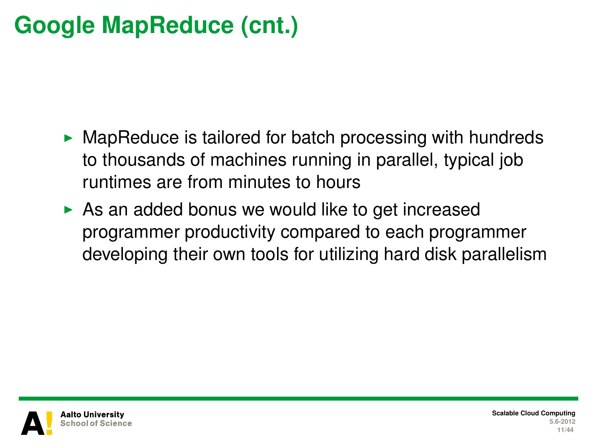# **Google MapReduce (cnt.)**

- $\triangleright$  MapReduce is tailored for batch processing with hundreds to thousands of machines running in parallel, typical job runtimes are from minutes to hours
- $\triangleright$  As an added bonus we would like to get increased programmer productivity compared to each programmer developing their own tools for utilizing hard disk parallelism



**Scalable Cloud Computing 5.6-2012 11/44**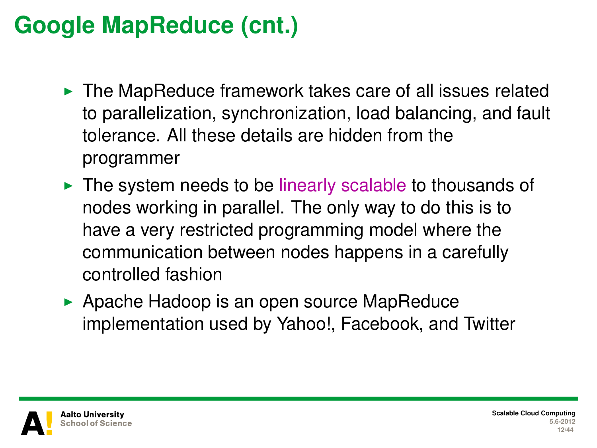# **Google MapReduce (cnt.)**

- $\triangleright$  The MapReduce framework takes care of all issues related to parallelization, synchronization, load balancing, and fault tolerance. All these details are hidden from the programmer
- $\triangleright$  The system needs to be linearly scalable to thousands of nodes working in parallel. The only way to do this is to have a very restricted programming model where the communication between nodes happens in a carefully controlled fashion
- $\triangleright$  Apache Hadoop is an open source MapReduce implementation used by Yahoo!, Facebook, and Twitter

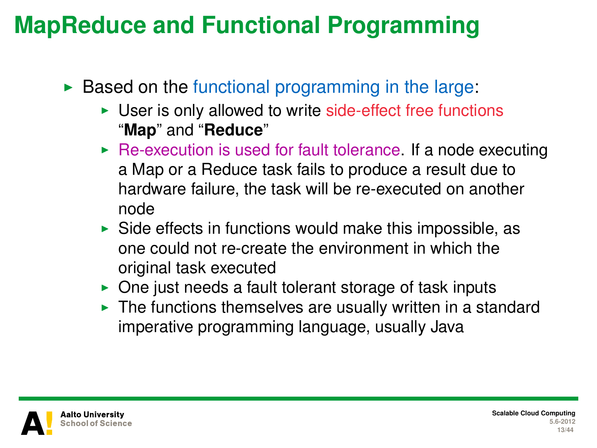### **MapReduce and Functional Programming**

- $\triangleright$  Based on the functional programming in the large:
	- $\triangleright$  User is only allowed to write side-effect free functions "**Map**" and "**Reduce**"
	- $\triangleright$  Re-execution is used for fault tolerance. If a node executing a Map or a Reduce task fails to produce a result due to hardware failure, the task will be re-executed on another node
	- $\triangleright$  Side effects in functions would make this impossible, as one could not re-create the environment in which the original task executed
	- $\triangleright$  One just needs a fault tolerant storage of task inputs
	- $\blacktriangleright$  The functions themselves are usually written in a standard imperative programming language, usually Java

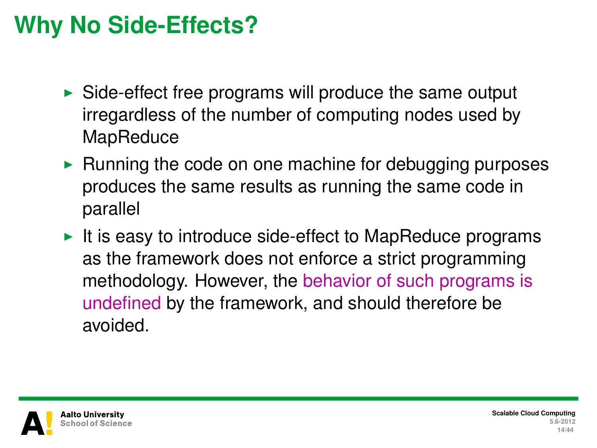# **Why No Side-Effects?**

- $\triangleright$  Side-effect free programs will produce the same output irregardless of the number of computing nodes used by **MapReduce**
- $\triangleright$  Running the code on one machine for debugging purposes produces the same results as running the same code in parallel
- It is easy to introduce side-effect to MapReduce programs as the framework does not enforce a strict programming methodology. However, the behavior of such programs is undefined by the framework, and should therefore be avoided.

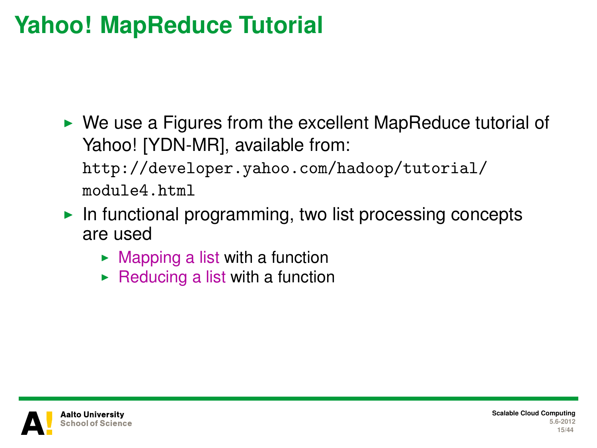# **Yahoo! MapReduce Tutorial**

 $\triangleright$  We use a Figures from the excellent MapReduce tutorial of Yahoo! [YDN-MR], available from:

[http://developer.yahoo.com/hadoop/tutorial/](http://developer.yahoo.com/hadoop/tutorial/module4.html) [module4.html](http://developer.yahoo.com/hadoop/tutorial/module4.html)

- In functional programming, two list processing concepts are used
	- $\blacktriangleright$  Mapping a list with a function
	- $\triangleright$  Reducing a list with a function

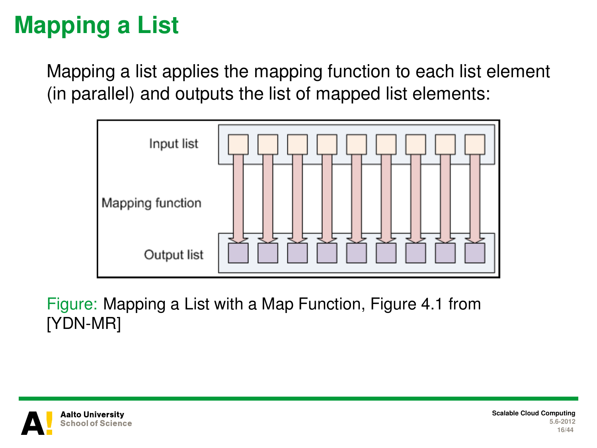# **Mapping a List**

Mapping a list applies the mapping function to each list element (in parallel) and outputs the list of mapped list elements:



Figure: Mapping a List with a Map Function, Figure 4.1 from [YDN-MR]



**Scalable Cloud Computing 5.6-2012 16/44**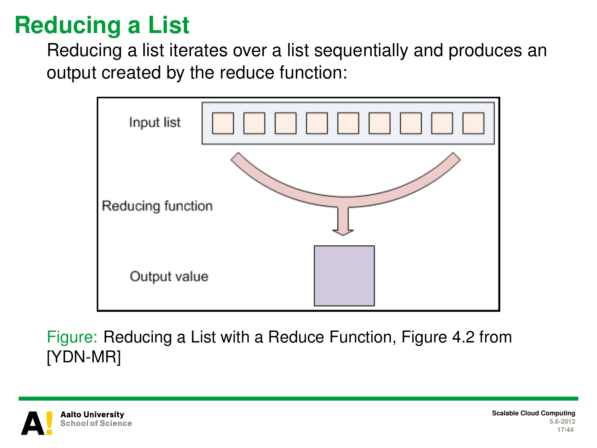# **Reducing a List**

Reducing a list iterates over a list sequentially and produces an output created by the reduce function:



Figure: Reducing a List with a Reduce Function, Figure 4.2 from [YDN-MR]

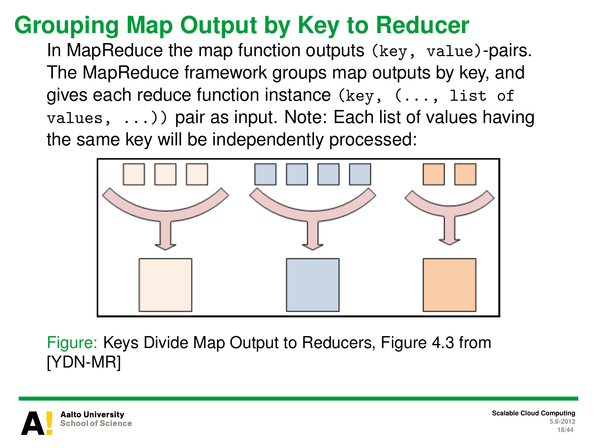# **Grouping Map Output by Key to Reducer**

In MapReduce the map function outputs (key, value)-pairs. The MapReduce framework groups map outputs by key, and gives each reduce function instance (key, (..., list of  $values, \ldots)$  pair as input. Note: Each list of values having the same key will be independently processed:



Figure: Keys Divide Map Output to Reducers, Figure 4.3 from [YDN-MR]

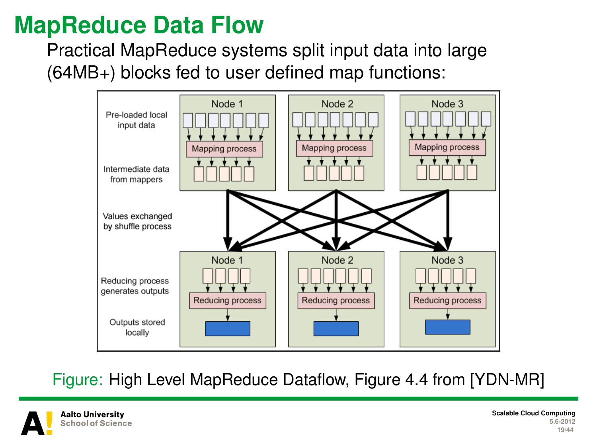#### **MapReduce Data Flow**

Practical MapReduce systems split input data into large (64MB+) blocks fed to user defined map functions:



Figure: High Level MapReduce Dataflow, Figure 4.4 from [YDN-MR]

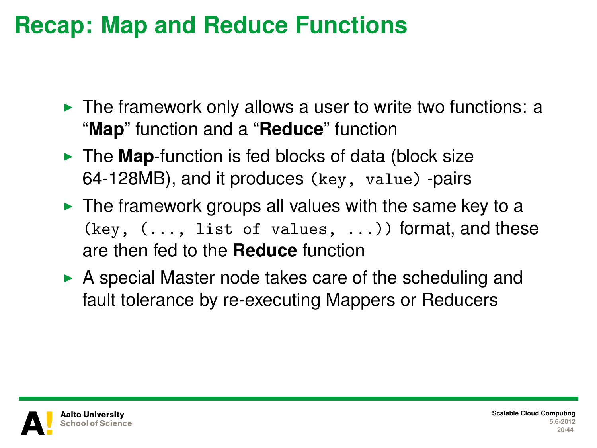#### **Recap: Map and Reduce Functions**

- $\triangleright$  The framework only allows a user to write two functions: a "**Map**" function and a "**Reduce**" function
- I The **Map**-function is fed blocks of data (block size 64-128MB), and it produces (key, value) -pairs
- $\triangleright$  The framework groups all values with the same key to a  $(key, (..., list of values, ...))$  format, and these are then fed to the **Reduce** function
- $\triangleright$  A special Master node takes care of the scheduling and fault tolerance by re-executing Mappers or Reducers

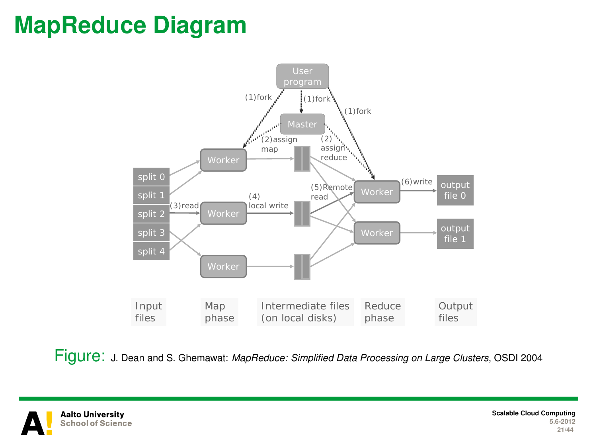#### **MapReduce Diagram**



Figure: J. Dean and S. Ghemawat: *MapReduce: Simplified Data Processing on Large Clusters*, OSDI 2004

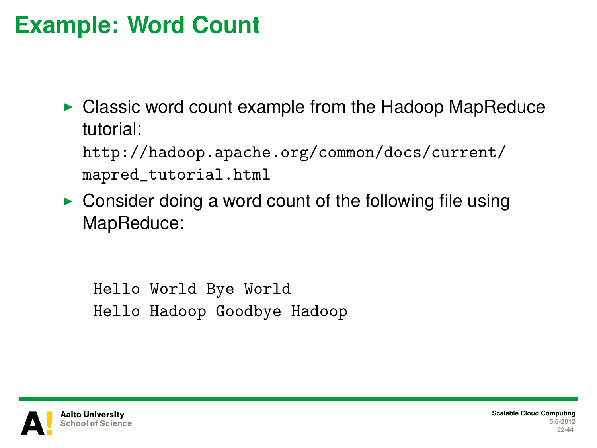#### **Example: Word Count**

 $\triangleright$  Classic word count example from the Hadoop MapReduce tutorial:

[http://hadoop.apache.org/common/docs/current/](http://hadoop.apache.org/common/docs/current/mapred_tutorial.html) [mapred\\_tutorial.html](http://hadoop.apache.org/common/docs/current/mapred_tutorial.html)

 $\triangleright$  Consider doing a word count of the following file using MapReduce:

Hello World Bye World Hello Hadoop Goodbye Hadoop

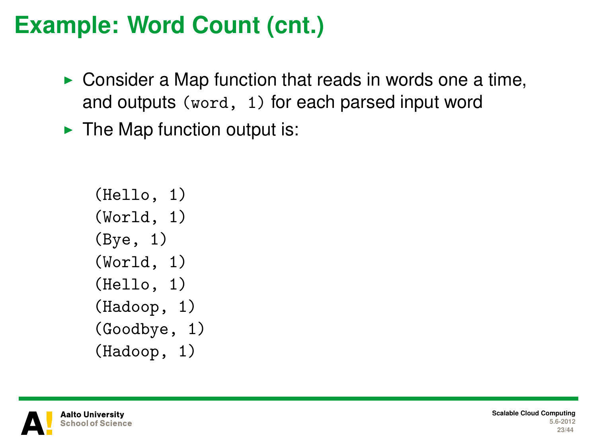#### **Example: Word Count (cnt.)**

- $\triangleright$  Consider a Map function that reads in words one a time, and outputs (word, 1) for each parsed input word
- $\blacktriangleright$  The Map function output is:

```
(Hello, 1)
(World, 1)
(Bye, 1)
(World, 1)
(Hello, 1)
(Hadoop, 1)
(Goodbye, 1)
(Hadoop, 1)
```
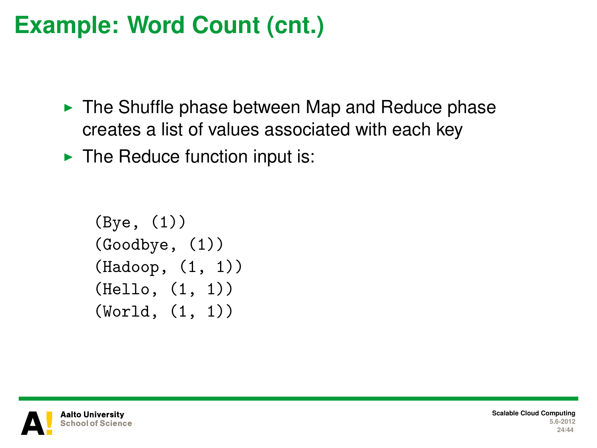## **Example: Word Count (cnt.)**

- $\triangleright$  The Shuffle phase between Map and Reduce phase creates a list of values associated with each key
- $\blacktriangleright$  The Reduce function input is:

```
(Bye, (1))
(Goodbye, (1))
(Hadoop, (1, 1))
(Hello, (1, 1))
(World, (1, 1))
```
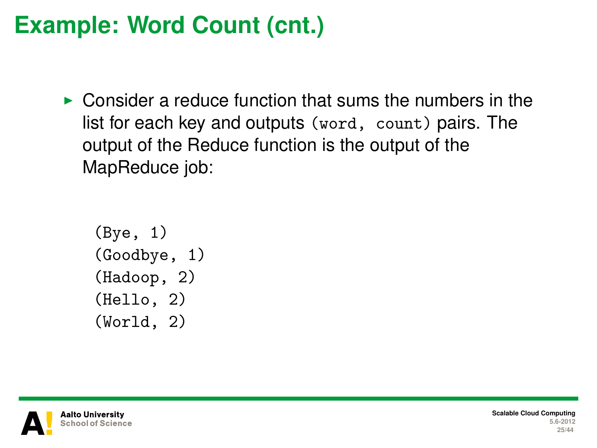### **Example: Word Count (cnt.)**

 $\triangleright$  Consider a reduce function that sums the numbers in the list for each key and outputs (word, count) pairs. The output of the Reduce function is the output of the MapReduce job:

```
(Bye, 1)
(Goodbye, 1)
(Hadoop, 2)
(Hello, 2)
(World, 2)
```


**Scalable Cloud Computing 5.6-2012 25/44**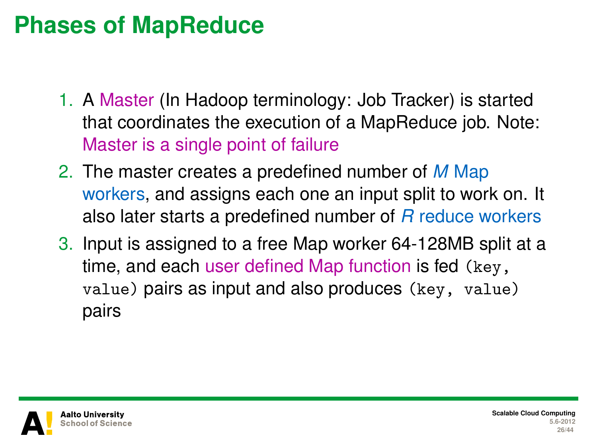#### **Phases of MapReduce**

- 1. A Master (In Hadoop terminology: Job Tracker) is started that coordinates the execution of a MapReduce job. Note: Master is a single point of failure
- 2. The master creates a predefined number of *M* Map workers, and assigns each one an input split to work on. It also later starts a predefined number of *R* reduce workers
- 3. Input is assigned to a free Map worker 64-128MB split at a time, and each user defined Map function is fed (key, value) pairs as input and also produces (key, value) pairs

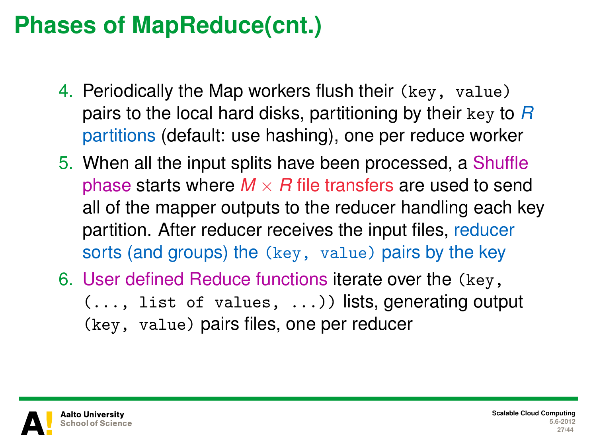### **Phases of MapReduce(cnt.)**

- 4. Periodically the Map workers flush their (key, value) pairs to the local hard disks, partitioning by their key to *R* partitions (default: use hashing), one per reduce worker
- 5. When all the input splits have been processed, a Shuffle phase starts where  $M \times R$  file transfers are used to send all of the mapper outputs to the reducer handling each key partition. After reducer receives the input files, reducer sorts (and groups) the (key, value) pairs by the key
- 6. User defined Reduce functions iterate over the (key, (..., list of values, ...)) lists, generating output (key, value) pairs files, one per reducer

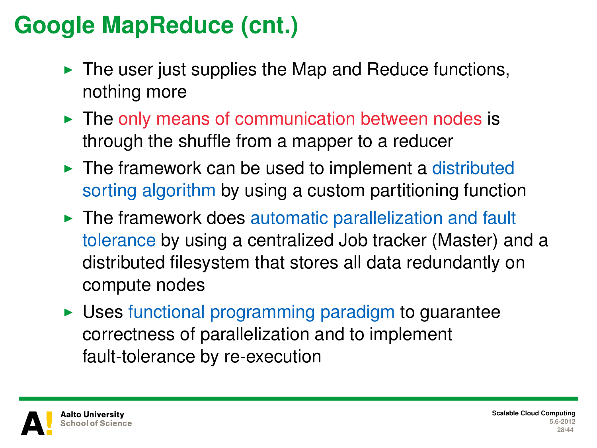# **Google MapReduce (cnt.)**

- $\blacktriangleright$  The user just supplies the Map and Reduce functions, nothing more
- $\blacktriangleright$  The only means of communication between nodes is through the shuffle from a mapper to a reducer
- $\blacktriangleright$  The framework can be used to implement a distributed sorting algorithm by using a custom partitioning function
- $\blacktriangleright$  The framework does automatic parallelization and fault tolerance by using a centralized Job tracker (Master) and a distributed filesystem that stores all data redundantly on compute nodes
- $\triangleright$  Uses functional programming paradigm to guarantee correctness of parallelization and to implement fault-tolerance by re-execution

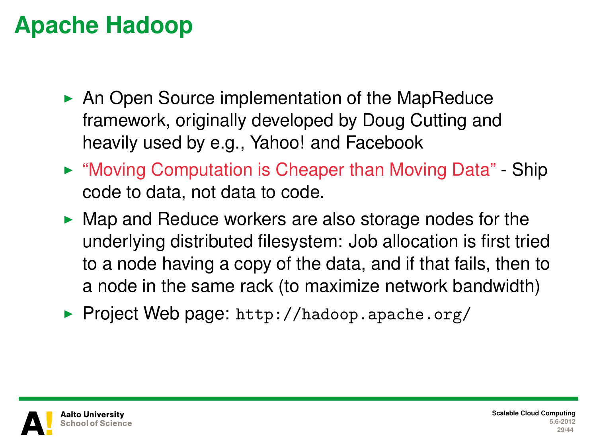# **Apache Hadoop**

- $\triangleright$  An Open Source implementation of the MapReduce framework, originally developed by Doug Cutting and heavily used by e.g., Yahoo! and Facebook
- ► "Moving Computation is Cheaper than Moving Data" Ship code to data, not data to code.
- $\blacktriangleright$  Map and Reduce workers are also storage nodes for the underlying distributed filesystem: Job allocation is first tried to a node having a copy of the data, and if that fails, then to a node in the same rack (to maximize network bandwidth)
- ▶ Project Web page: <http://hadoop.apache.org/>

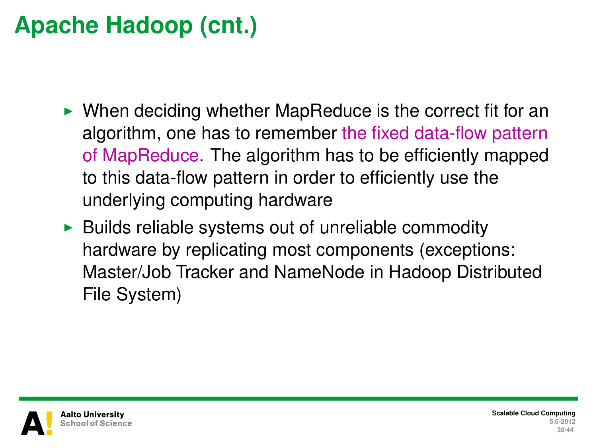# **Apache Hadoop (cnt.)**

- $\triangleright$  When deciding whether MapReduce is the correct fit for an algorithm, one has to remember the fixed data-flow pattern of MapReduce. The algorithm has to be efficiently mapped to this data-flow pattern in order to efficiently use the underlying computing hardware
- $\triangleright$  Builds reliable systems out of unreliable commodity hardware by replicating most components (exceptions: Master/Job Tracker and NameNode in Hadoop Distributed File System)

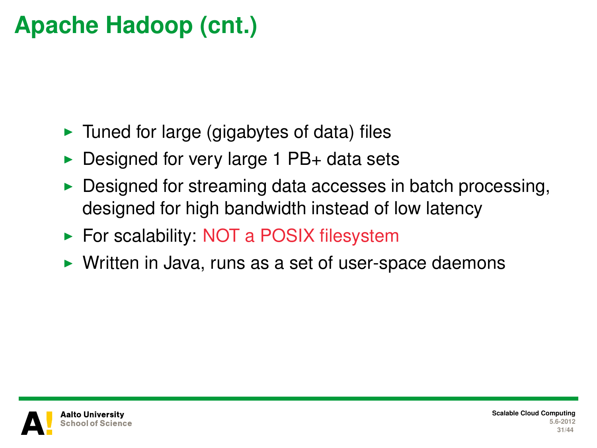# **Apache Hadoop (cnt.)**

- $\blacktriangleright$  Tuned for large (gigabytes of data) files
- $\triangleright$  Designed for very large 1 PB+ data sets
- Designed for streaming data accesses in batch processing, designed for high bandwidth instead of low latency
- $\triangleright$  For scalability: NOT a POSIX filesystem
- $\triangleright$  Written in Java, runs as a set of user-space daemons

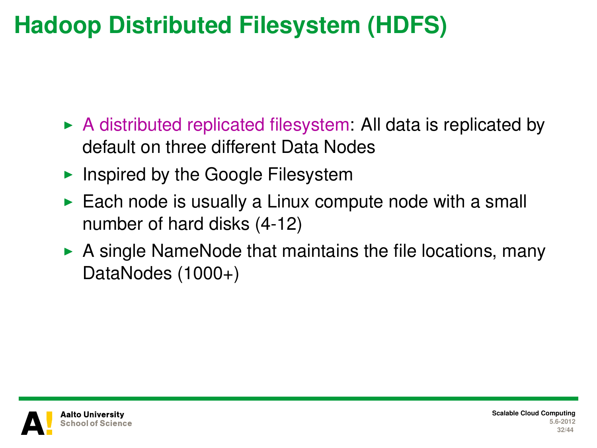# **Hadoop Distributed Filesystem (HDFS)**

- $\triangleright$  A distributed replicated filesystem: All data is replicated by default on three different Data Nodes
- Inspired by the Google Filesystem
- $\blacktriangleright$  Each node is usually a Linux compute node with a small number of hard disks (4-12)
- $\triangleright$  A single NameNode that maintains the file locations, many DataNodes (1000+)

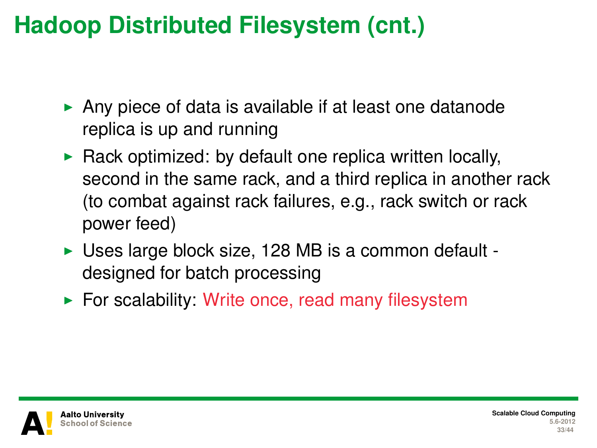# **Hadoop Distributed Filesystem (cnt.)**

- $\triangleright$  Any piece of data is available if at least one datanode replica is up and running
- $\triangleright$  Rack optimized: by default one replica written locally, second in the same rack, and a third replica in another rack (to combat against rack failures, e.g., rack switch or rack power feed)
- $\triangleright$  Uses large block size, 128 MB is a common default designed for batch processing
- $\triangleright$  For scalability: Write once, read many filesystem



**Scalable Cloud Computing 5.6-2012 33/44**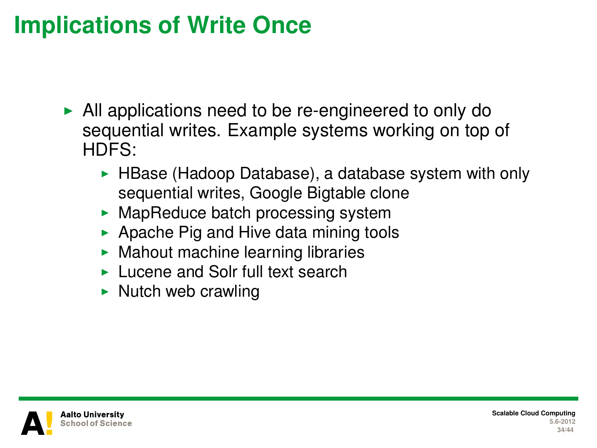#### **Implications of Write Once**

- $\blacktriangleright$  All applications need to be re-engineered to only do sequential writes. Example systems working on top of HDFS:
	- HBase (Hadoop Database), a database system with only sequential writes, Google Bigtable clone
	- $\blacktriangleright$  MapReduce batch processing system
	- $\blacktriangleright$  Apache Pig and Hive data mining tools
	- $\blacktriangleright$  Mahout machine learning libraries
	- $\blacktriangleright$  Lucene and Solr full text search
	- $\triangleright$  Nutch web crawling

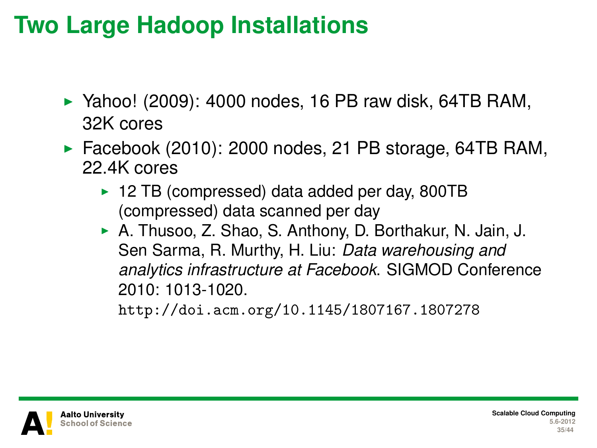#### **Two Large Hadoop Installations**

- $\blacktriangleright$  Yahoo! (2009): 4000 nodes, 16 PB raw disk, 64TB RAM, 32K cores
- $\blacktriangleright$  Facebook (2010): 2000 nodes, 21 PB storage, 64TB RAM, 22.4K cores
	- $\blacktriangleright$  12 TB (compressed) data added per day, 800TB (compressed) data scanned per day
	- A. Thusoo, Z. Shao, S. Anthony, D. Borthakur, N. Jain, J. Sen Sarma, R. Murthy, H. Liu: *Data warehousing and analytics infrastructure at Facebook*. SIGMOD Conference 2010: 1013-1020.

<http://doi.acm.org/10.1145/1807167.1807278>

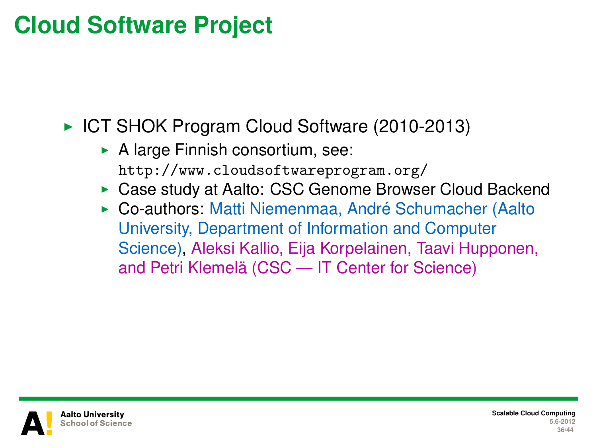#### **Cloud Software Project**

► ICT SHOK Program Cloud Software (2010-2013)

- $\triangleright$  A large Finnish consortium, see: <http://www.cloudsoftwareprogram.org/>
- ▶ Case study at Aalto: CSC Genome Browser Cloud Backend
- ► Co-authors: Matti Niemenmaa, André Schumacher (Aalto University, Department of Information and Computer Science), Aleksi Kallio, Eija Korpelainen, Taavi Hupponen, and Petri Klemelä (CSC — IT Center for Science)

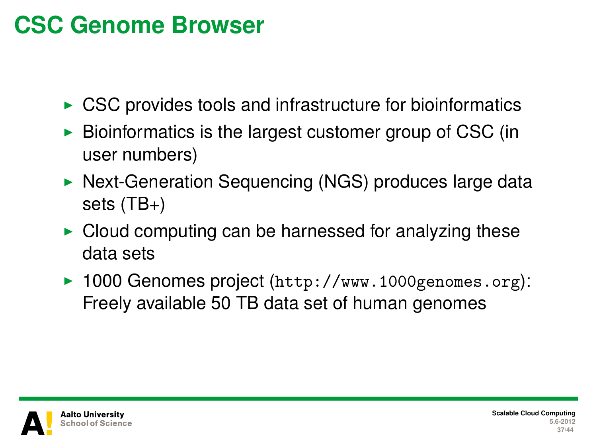### **CSC Genome Browser**

- $\triangleright$  CSC provides tools and infrastructure for bioinformatics
- $\triangleright$  Bioinformatics is the largest customer group of CSC (in user numbers)
- $\triangleright$  Next-Generation Sequencing (NGS) produces large data sets (TB+)
- $\triangleright$  Cloud computing can be harnessed for analyzing these data sets
- ▶ 1000 Genomes project (<http://www.1000genomes.org>): Freely available 50 TB data set of human genomes

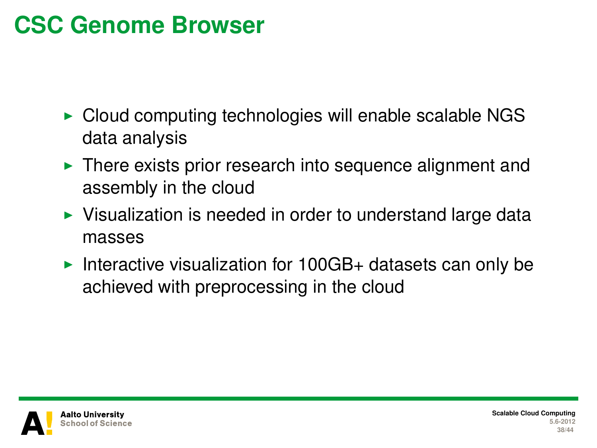#### **CSC Genome Browser**

- $\triangleright$  Cloud computing technologies will enable scalable NGS data analysis
- $\blacktriangleright$  There exists prior research into sequence alignment and assembly in the cloud
- $\triangleright$  Visualization is needed in order to understand large data masses
- Interactive visualization for  $100GB+$  datasets can only be achieved with preprocessing in the cloud

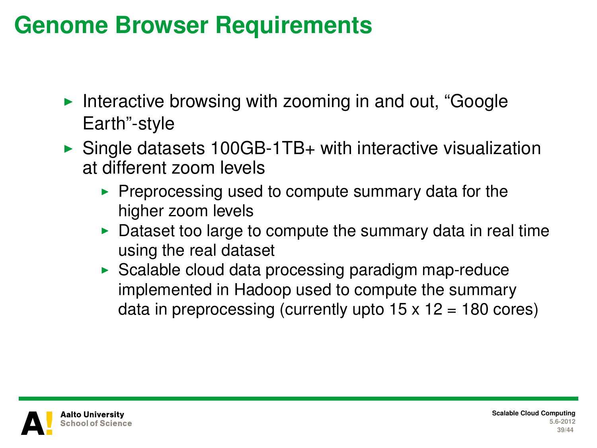#### **Genome Browser Requirements**

- Interactive browsing with zooming in and out, "Google" Earth"-style
- $\triangleright$  Single datasets 100GB-1TB+ with interactive visualization at different zoom levels
	- $\triangleright$  Preprocessing used to compute summary data for the higher zoom levels
	- Dataset too large to compute the summary data in real time using the real dataset
	- $\triangleright$  Scalable cloud data processing paradigm map-reduce implemented in Hadoop used to compute the summary data in preprocessing (currently upto  $15 \times 12 = 180$  cores)

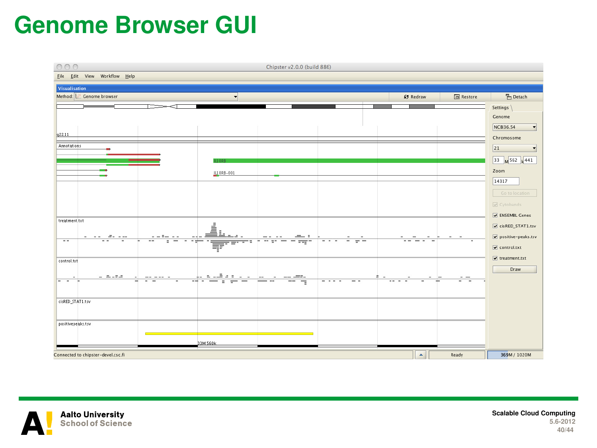#### **Genome Browser GUI**





**Scalable Cloud Computing 5.6-2012 40/44**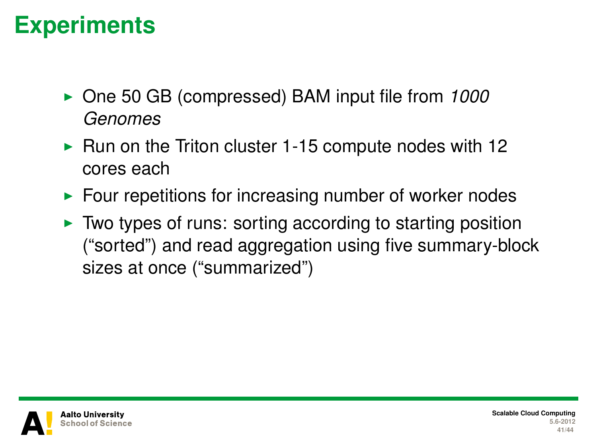#### **Experiments**

- ▶ One 50 GB (compressed) BAM input file from 1000 *Genomes*
- $\blacktriangleright$  Run on the Triton cluster 1-15 compute nodes with 12 cores each
- $\blacktriangleright$  Four repetitions for increasing number of worker nodes
- $\triangleright$  Two types of runs: sorting according to starting position ("sorted") and read aggregation using five summary-block sizes at once ("summarized")

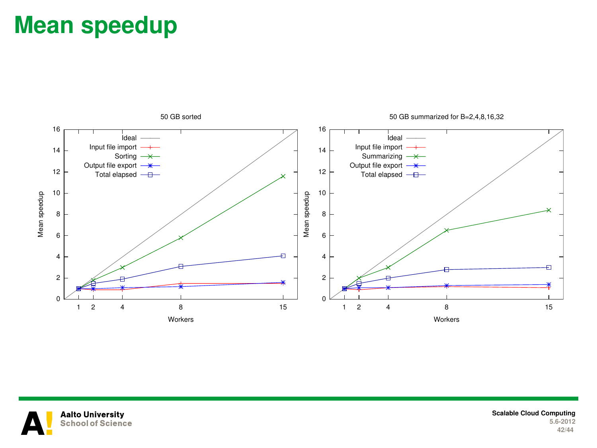#### **Mean speedup**





**Scalable Cloud Computing 5.6-2012 42/44**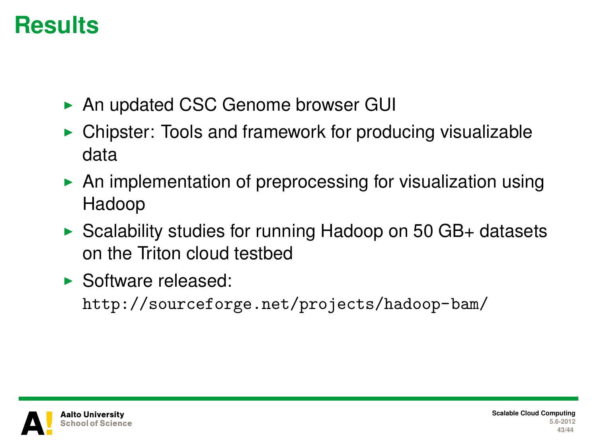#### **Results**

- ▶ An updated CSC Genome browser GUI
- $\triangleright$  Chipster: Tools and framework for producing visualizable data
- $\triangleright$  An implementation of preprocessing for visualization using Hadoop
- $\triangleright$  Scalability studies for running Hadoop on 50 GB+ datasets on the Triton cloud testbed
- $\blacktriangleright$  Software released:

<http://sourceforge.net/projects/hadoop-bam/>